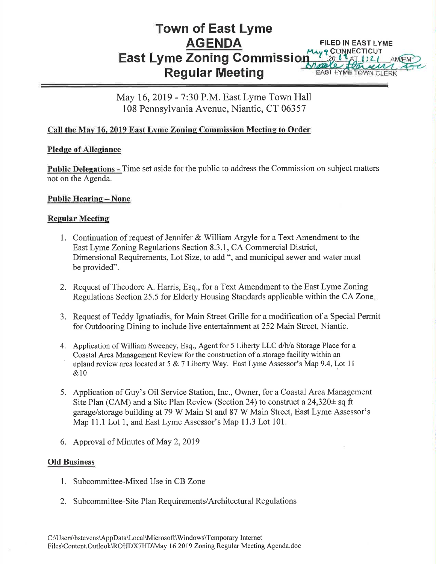#### Town of East Lyme AGENDA East Lyme Zoning Gommissi Regular Meeting FILED IN EAST LYME **9 CONNECTICUT** EAST LYME TOWN CLE

May 16,2019 - 7:30 P.M. East Lyme Town Hall 108 Pennsylvania Avenue, Niantic, CT 06357

# Call the May 16, 2019 East Lyme Zoning Commission Meeting to Order

## Pledge of Allegiance

Public Delegations - Time set aside for the public to address the Commission on subject matters not on the Agenda.

## Public Hearing - None

## **Regular Meeting**

- 1. Continuation of request of Jennifer & William Argyle for a Text Amendment to the East Lyme Zoning Regulations Section 8.3.1, CA Commercial District, Dimensional Requirements, Lot Size, to add", and municipal sewer and water must be provided".
- 2. Request of Theodore A. Harris, Esq., for a Text Amendment to the East Lyme Zoning Regulations Section 25.5 for Elderly Housing Standards applicable within the CA Zone
- 3. Request of Teddy Ignatiadis, for Main Street Grille for a modification of a Special Permit for Outdooring Dining to include live entertainment at252 Main Street, Niantic.
- 4. Application of William Sweeney, Esq., Agent for 5 Liberty LLC d/b/a Storage Place for a Coastal Area Management Review for the construction of a storage facility within an upland review area located at 5 & 7 Liberty Way. East Lyme Assessor's Map 9.4, Lot 11 &10
- 5. Application of Guy's Oil Service Station, Inc., Owner, for a Coastal Area Management Site Plan (CAM) and a Site Plan Review (Section 24) to construct a  $24,320\pm$  sq ft garagelstorage building at 79 W Main St and 87 W Main Street, East Lyrne Assessot's Map 11.1 Lot 1, and East Lyme Assessor's Map 11.3 Lot 101.
- 6. Approval of Minutes of May 2,2019

## **Old Business**

- 1. Subcommittee-Mixed Use in CB Zone
- 2. Subcommittee-Site Plan Requirements/Architectural Regulations